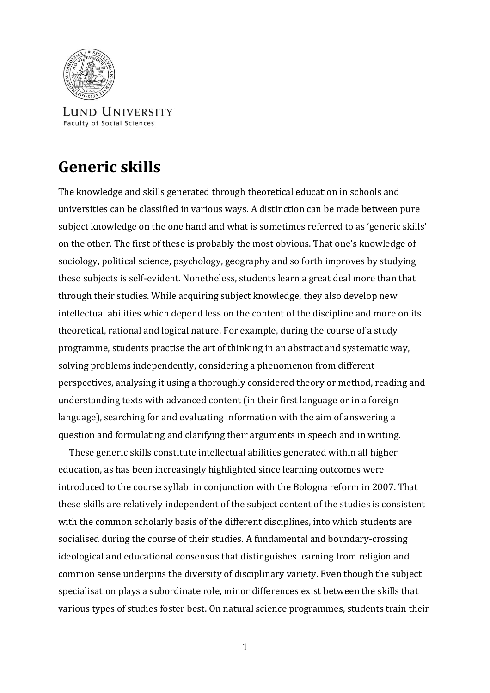

LUND UNIVERSITY **Faculty of Social Sciences** 

# **Generic skills**

The knowledge and skills generated through theoretical education in schools and universities can be classified in various ways. A distinction can be made between pure subject knowledge on the one hand and what is sometimes referred to as 'generic skills' on the other. The first of these is probably the most obvious. That one's knowledge of sociology, political science, psychology, geography and so forth improves by studying these subjects is self-evident. Nonetheless, students learn a great deal more than that through their studies. While acquiring subject knowledge, they also develop new intellectual abilities which depend less on the content of the discipline and more on its theoretical, rational and logical nature. For example, during the course of a study programme, students practise the art of thinking in an abstract and systematic way, solving problems independently, considering a phenomenon from different perspectives, analysing it using a thoroughly considered theory or method, reading and understanding texts with advanced content (in their first language or in a foreign language), searching for and evaluating information with the aim of answering a question and formulating and clarifying their arguments in speech and in writing.

 These generic skills constitute intellectual abilities generated within all higher education, as has been increasingly highlighted since learning outcomes were introduced to the course syllabi in conjunction with the Bologna reform in 2007. That these skills are relatively independent of the subject content of the studies is consistent with the common scholarly basis of the different disciplines, into which students are socialised during the course of their studies. A fundamental and boundary-crossing ideological and educational consensus that distinguishes learning from religion and common sense underpins the diversity of disciplinary variety. Even though the subject specialisation plays a subordinate role, minor differences exist between the skills that various types of studies foster best. On natural science programmes, students train their

1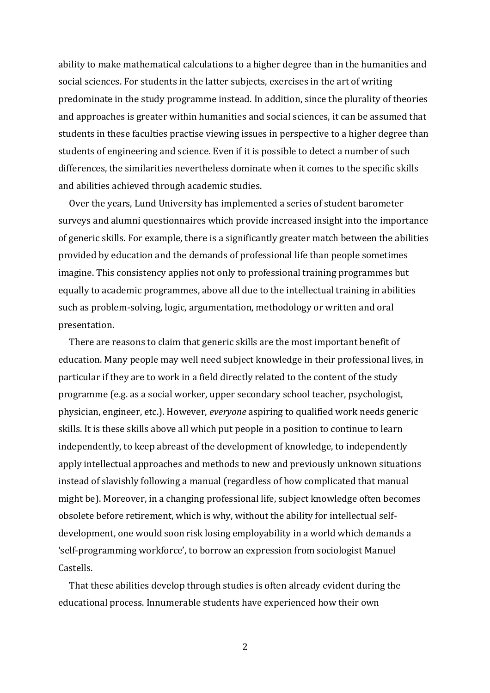ability to make mathematical calculations to a higher degree than in the humanities and social sciences. For students in the latter subjects, exercises in the art of writing predominate in the study programme instead. In addition, since the plurality of theories and approaches is greater within humanities and social sciences, it can be assumed that students in these faculties practise viewing issues in perspective to a higher degree than students of engineering and science. Even if it is possible to detect a number of such differences, the similarities nevertheless dominate when it comes to the specific skills and abilities achieved through academic studies.

 Over the years, Lund University has implemented a series of student barometer surveys and alumni questionnaires which provide increased insight into the importance of generic skills. For example, there is a significantly greater match between the abilities provided by education and the demands of professional life than people sometimes imagine. This consistency applies not only to professional training programmes but equally to academic programmes, above all due to the intellectual training in abilities such as problem-solving, logic, argumentation, methodology or written and oral presentation.

 There are reasons to claim that generic skills are the most important benefit of education. Many people may well need subject knowledge in their professional lives, in particular if they are to work in a field directly related to the content of the study programme (e.g. as a social worker, upper secondary school teacher, psychologist, physician, engineer, etc.). However, *everyone* aspiring to qualified work needs generic skills. It is these skills above all which put people in a position to continue to learn independently, to keep abreast of the development of knowledge, to independently apply intellectual approaches and methods to new and previously unknown situations instead of slavishly following a manual (regardless of how complicated that manual might be). Moreover, in a changing professional life, subject knowledge often becomes obsolete before retirement, which is why, without the ability for intellectual selfdevelopment, one would soon risk losing employability in a world which demands a 'self-programming workforce', to borrow an expression from sociologist Manuel Castells.

 That these abilities develop through studies is often already evident during the educational process. Innumerable students have experienced how their own

2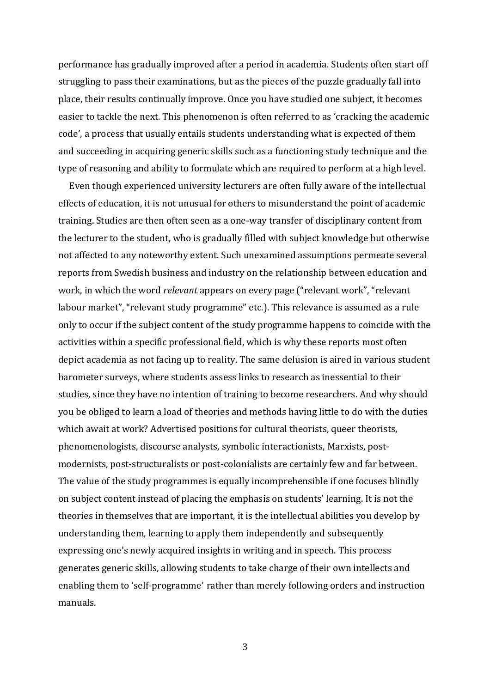performance has gradually improved after a period in academia. Students often start off struggling to pass their examinations, but as the pieces of the puzzle gradually fall into place, their results continually improve. Once you have studied one subject, it becomes easier to tackle the next. This phenomenon is often referred to as 'cracking the academic code', a process that usually entails students understanding what is expected of them and succeeding in acquiring generic skills such as a functioning study technique and the type of reasoning and ability to formulate which are required to perform at a high level.

 Even though experienced university lecturers are often fully aware of the intellectual effects of education, it is not unusual for others to misunderstand the point of academic training. Studies are then often seen as a one-way transfer of disciplinary content from the lecturer to the student, who is gradually filled with subject knowledge but otherwise not affected to any noteworthy extent. Such unexamined assumptions permeate several reports from Swedish business and industry on the relationship between education and work, in which the word *relevant* appears on every page ("relevant work", "relevant labour market", "relevant study programme" etc.). This relevance is assumed as a rule only to occur if the subject content of the study programme happens to coincide with the activities within a specific professional field, which is why these reports most often depict academia as not facing up to reality. The same delusion is aired in various student barometer surveys, where students assess links to research as inessential to their studies, since they have no intention of training to become researchers. And why should you be obliged to learn a load of theories and methods having little to do with the duties which await at work? Advertised positions for cultural theorists, queer theorists, phenomenologists, discourse analysts, symbolic interactionists, Marxists, postmodernists, post-structuralists or post-colonialists are certainly few and far between. The value of the study programmes is equally incomprehensible if one focuses blindly on subject content instead of placing the emphasis on students' learning. It is not the theories in themselves that are important, it is the intellectual abilities you develop by understanding them, learning to apply them independently and subsequently expressing one's newly acquired insights in writing and in speech. This process generates generic skills, allowing students to take charge of their own intellects and enabling them to 'self-programme' rather than merely following orders and instruction manuals.

3